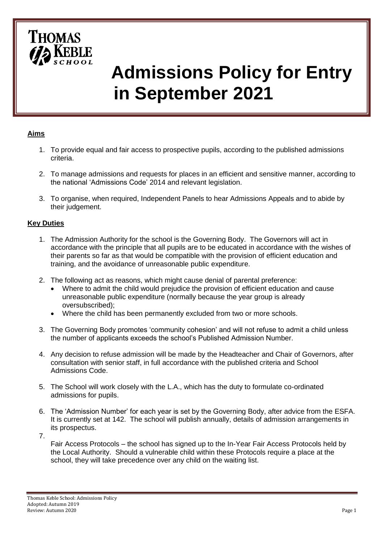

# **Admissions Policy for Entry in September 2021**

## **Aims**

- 1. To provide equal and fair access to prospective pupils, according to the published admissions criteria.
- 2. To manage admissions and requests for places in an efficient and sensitive manner, according to the national 'Admissions Code' 2014 and relevant legislation.
- 3. To organise, when required, Independent Panels to hear Admissions Appeals and to abide by their judgement.

#### **Key Duties**

- 1. The Admission Authority for the school is the Governing Body. The Governors will act in accordance with the principle that all pupils are to be educated in accordance with the wishes of their parents so far as that would be compatible with the provision of efficient education and training, and the avoidance of unreasonable public expenditure.
- 2. The following act as reasons, which might cause denial of parental preference:
	- Where to admit the child would prejudice the provision of efficient education and cause unreasonable public expenditure (normally because the year group is already oversubscribed);
	- Where the child has been permanently excluded from two or more schools.
- 3. The Governing Body promotes 'community cohesion' and will not refuse to admit a child unless the number of applicants exceeds the school's Published Admission Number.
- 4. Any decision to refuse admission will be made by the Headteacher and Chair of Governors, after consultation with senior staff, in full accordance with the published criteria and School Admissions Code.
- 5. The School will work closely with the L.A., which has the duty to formulate co-ordinated admissions for pupils.
- 6. The 'Admission Number' for each year is set by the Governing Body, after advice from the ESFA. It is currently set at 142. The school will publish annually, details of admission arrangements in its prospectus.
- 7.

Fair Access Protocols – the school has signed up to the In-Year Fair Access Protocols held by the Local Authority. Should a vulnerable child within these Protocols require a place at the school, they will take precedence over any child on the waiting list.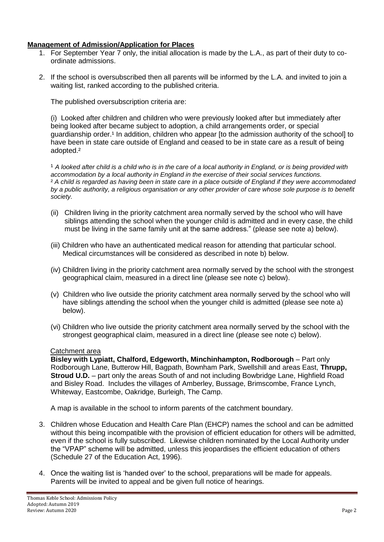#### **Management of Admission/Application for Places**

- 1. For September Year 7 only, the initial allocation is made by the L.A., as part of their duty to coordinate admissions.
- 2. If the school is oversubscribed then all parents will be informed by the L.A. and invited to join a waiting list, ranked according to the published criteria.

The published oversubscription criteria are:

(i) Looked after children and children who were previously looked after but immediately after being looked after became subject to adoption, a child arrangements order, or special guardianship order.<sup>1</sup> In addition, children who appear [to the admission authority of the school] to have been in state care outside of England and ceased to be in state care as a result of being adopted.²

<sup>1</sup> A looked after child is a child who is in the care of a local authority in England, or is being provided with *accommodation by a local authority in England in the exercise of their social services functions.*  ² *A child is regarded as having been in state care in a place outside of England if they were accommodated by a public authority, a religious organisation or any other provider of care whose sole purpose is to benefit society.*

- (ii) Children living in the priority catchment area normally served by the school who will have siblings attending the school when the younger child is admitted and in every case, the child must be living in the same family unit at the same address." (please see note a) below).
- (iii) Children who have an authenticated medical reason for attending that particular school. Medical circumstances will be considered as described in note b) below.
- (iv) Children living in the priority catchment area normally served by the school with the strongest geographical claim, measured in a direct line (please see note c) below).
- (v) Children who live outside the priority catchment area normally served by the school who will have siblings attending the school when the younger child is admitted (please see note a) below).
- (vi) Children who live outside the priority catchment area normally served by the school with the strongest geographical claim, measured in a direct line (please see note c) below).

#### Catchment area

**Bisley with Lypiatt, Chalford, Edgeworth, Minchinhampton, Rodborough** – Part only Rodborough Lane, Butterow Hill, Bagpath, Bownham Park, Swellshill and areas East, **Thrupp, Stroud U.D.** – part only the areas South of and not including Bowbridge Lane, Highfield Road and Bisley Road. Includes the villages of Amberley, Bussage, Brimscombe, France Lynch, Whiteway, Eastcombe, Oakridge, Burleigh, The Camp.

A map is available in the school to inform parents of the catchment boundary.

- 3. Children whose Education and Health Care Plan (EHCP) names the school and can be admitted without this being incompatible with the provision of efficient education for others will be admitted, even if the school is fully subscribed. Likewise children nominated by the Local Authority under the "VPAP" scheme will be admitted, unless this jeopardises the efficient education of others (Schedule 27 of the Education Act, 1996).
- 4. Once the waiting list is 'handed over' to the school, preparations will be made for appeals. Parents will be invited to appeal and be given full notice of hearings.